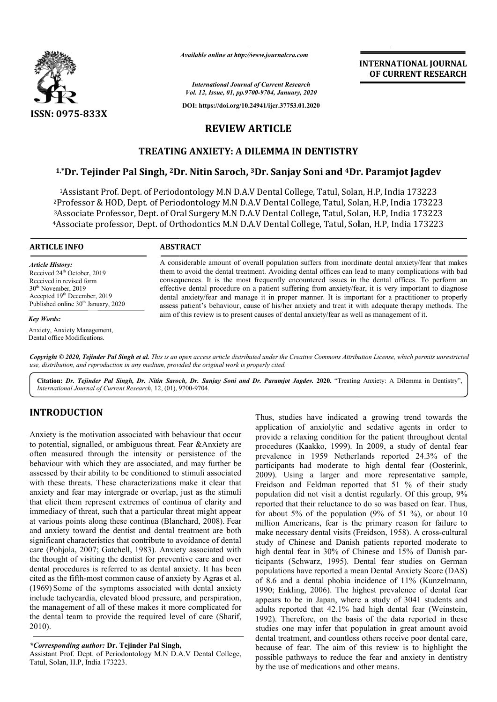

*Available online at http://www.journalcra.com*

*International Journal of Current Research Vol. 12, Issue, 01, pp.9700-9704, January, 2020*

**DOI: https://doi.org/10.24941/ijcr.37753.01.2020**

## **REVIEW ARTICLE**

# **TREATING ANXIETY: A DILEMMA IN DENTISTRY**

# <sup>1,\*</sup>Dr. Tejinder Pal Singh, <sup>2</sup>Dr. Nitin Saroch, <sup>3</sup>Dr. Sanjay Soni and <sup>4</sup>Dr. Paramjot Jagdev

<sup>1</sup>Assistant Prof. Dept. of Periodontology M.N D.A.V Dental College, Tatul, Solan, H.P, India 173223 1Assistant Prof. Dept. of Periodontology M.N D.A.V Dental College, Tatul, Solan, H.P, India 173223<br>2Professor & HOD, Dept. of Periodontology M.N D.A.V Dental College, Tatul, Solan, H.P, India 173223 <sup>3</sup>Associate Professor, Dept. of Oral Surgery M.N D.A.V Dental College, Tatul, Solan, H.P, India 173223 <sup>3</sup>Associate Professor, Dept. of Oral Surgery M.N D.A.V Dental College, Tatul, Solan, H.P, India 173223<br>4Associate professor, Dept. of Orthodontics M.N D.A.V Dental College, Tatul, Solan, H.P, India 173223

## **ARTICLE INFO ABSTRACT**

*Article History:* Received 24<sup>th</sup> October, 2019 Received in revised form 30<sup>th</sup> November, 2019 Accepted 19th December, 2019 Published online 30<sup>th</sup> January, 2020

#### *Key Words:*

Anxiety, Anxiety Management, Dental office Modifications.

A considerable amount of overall population suffers from inordinate dental anxiety/fear that makes them to avoid the dental treatment. Avoiding dental offices can lead to many complications with bad consequences. It is the most frequently encountered issues in the dental offices. To perform an effective dental procedure on a patient suffering from anxiety/fear, it is very important to diagnose dental anxiety/fear and manage it in proper manner. It is important for a practitioner to properly assess patient's b behaviour, cause of his/her anxiety and treat it with adequate therapy methods. The aim of this review is to present causes of dental anxiety/fear as well as management of it. them to avoid the dental treatment. Avoiding dental offices can lead to many complications with bad consequences. It is the most frequently encountered issues in the dental offices. To perform an effective dental procedure

**INTERNATIONAL JOURNAL OF CURRENT RESEARCH**

Copyright © 2020, Tejinder Pal Singh et al. This is an open access article distributed under the Creative Commons Attribution License, which permits unrestrictea *use, distribution, and reproduction in any medium, provided the original work is properly cited.*

Citation: Dr. Tejinder Pal Singh, Dr. Nitin Saroch, Dr. Sanjay Soni and Dr. Paramjot Jagdev. 2020. "Treating Anxiety: A Dilemma in Dentistry", *International Journal of Current Research*, 12, (01), 9700 9700-9704.

# **INTRODUCTION**

Anxiety is the motivation associated with behaviour that occur to potential, signalled, or ambiguous threat. Fear &Anxiety are often measured through the intensity or persistence of the behaviour with which they are associated, and may further be assessed by their ability to be conditioned to stimuli associated with these threats. These characterizations make it clear that anxiety and fear may intergrade or overlap, just as the stimuli that elicit them represent extremes of continua of clarity and immediacy of threat, such that a particular threat might appear at various points along these continua (Blanchard, 2008). Fear and anxiety toward the dentist and dental treatment are both significant characteristics that contribute to avoidance of dental care (Pohjola, 2007; Gatchell, 1983). Anxiety associated with the thought of visiting the dentist for preventive care and over dental procedures is referred to as dental anxiety. It has been cited as the fifth-most common cause of anxiety by Agras et al. (1969) Some of the symptoms associated with dental anxiety include tachycardia, elevated blood pressure, and perspiration, the management of all of these makes it more complicated for the dental team to provide the required level of care (Sharif, 2010).

## *\*Corresponding author:* **Dr. Tejinder Pal Singh Singh,**

Assistant Prof. Dept. of Periodontology M.N D.A.V Dental College, Tatul, Solan, H.P, India 173223.

Thus, studies have indicated a growing trend towards the application of anxiolytic and sedative agents in order to Thus, studies have indicated a growing trend towards the application of anxiolytic and sedative agents in order to provide a relaxing condition for the patient throughout dental procedures (Kaakko, 1999). In 2009, a study of dental fear prevalence in 1959 Netherlands reported 24.3% of the participants had moderate to high dental fear (Oosterink, 2009). Using a larger and more representative sample, Freidson and Feldman reported that 51 % of their study population did not visit a dentist regularly. Of this group, 9% reported that their reluctance to do so was based on fear. Thus, for about 5% of the population  $(9\% \text{ of } 51\%)$ , or about 10 million Americans, fear is the primary reason for failure to make necessary dental visits (Freidson, 1958). A cross-cultural study of Chinese and Danish patients reported moderate to high dental fear in 30% of Chinese and 15% of Danish participants (Schwarz, 1995). Dental fear studies on German populations have reported a mean Dental Anxiety Score (DAS) populations have reported a mean Dental Anxiety Score (DAS)<br>of 8.6 and a dental phobia incidence of 11% (Kunzelmann, 1990; Enkling, 2006). The highest prevalence of dental fear appears to be in Japan, where a study of 3041 students and 1990; Enkling, 2006). The highest prevalence of dental fear appears to be in Japan, where a study of 3041 students and adults reported that 42.1% had high dental fear (Weinstein, 1992). Therefore, on the basis of the data reported in these studies one may infer that population in great amount avoid dental treatment, and countless others receive poor dental care, because of fear. The aim of this review is to highlight the possible pathways to reduce the fear and anxiety in dentistry by the use of medications and other means. ko, 1999). In 2009, a study of dental fear<br>
959 Netherlands reported 24.3% of the<br>
moderate to high dental fear (Oosterink, larger and more representative sample, on and Feldman reported that 51 % of their study ation did not visit a dentist regularly. Of this group, 9% ed that their reluctance to do so was based on fear. Thus, out 5% of the po basis of the data reported in these<br>t population in great amount avoid<br>tless others receive poor dental care,<br>of this review is to highlight the<br>ce the fear and anxiety in dentistry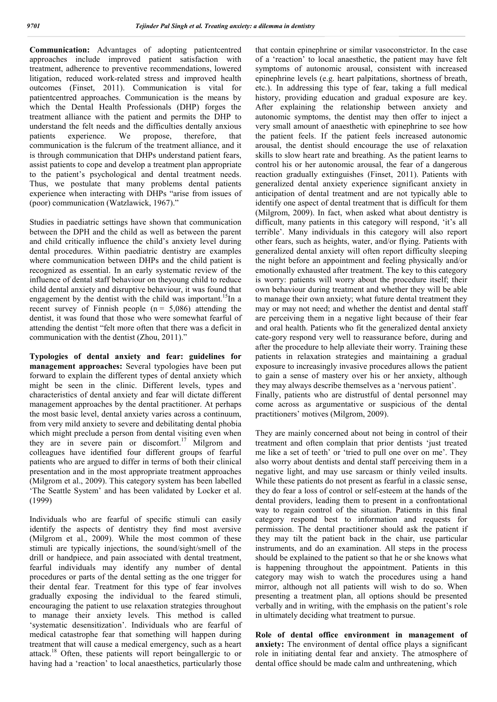**Communication:** Advantages of adopting patientcentred approaches include improved patient satisfaction with treatment, adherence to preventive recommendations, lowered litigation, reduced work-related stress and improved health outcomes (Finset, 2011). Communication is vital for patientcentred approaches. Communication is the means by which the Dental Health Professionals (DHP) forges the treatment alliance with the patient and permits the DHP to understand the felt needs and the difficulties dentally anxious patients experience. We propose, therefore, that communication is the fulcrum of the treatment alliance, and it is through communication that DHPs understand patient fears, assist patients to cope and develop a treatment plan appropriate to the patient's psychological and dental treatment needs. Thus, we postulate that many problems dental patients experience when interacting with DHPs "arise from issues of (poor) communication (Watzlawick, 1967)."

Studies in paediatric settings have shown that communication between the DPH and the child as well as between the parent and child critically influence the child's anxiety level during dental procedures. Within paediatric dentistry are examples where communication between DHPs and the child patient is recognized as essential. In an early systematic review of the influence of dental staff behaviour on theyoung child to reduce child dental anxiety and disruptive behaviour, it was found that engagement by the dentist with the child was important.<sup>15</sup>In a recent survey of Finnish people  $(n = 5,086)$  attending the dentist, it was found that those who were somewhat fearful of attending the dentist "felt more often that there was a deficit in communication with the dentist (Zhou, 2011)."

**Typologies of dental anxiety and fear: guidelines for management approaches:** Several typologies have been put forward to explain the different types of dental anxiety which might be seen in the clinic. Different levels, types and characteristics of dental anxiety and fear will dictate different management approaches by the dental practitioner. At perhaps the most basic level, dental anxiety varies across a continuum, from very mild anxiety to severe and debilitating dental phobia which might preclude a person from dental visiting even when they are in severe pain or discomfort.<sup>17</sup> Milgrom and colleagues have identified four different groups of fearful patients who are argued to differ in terms of both their clinical presentation and in the most appropriate treatment approaches (Milgrom et al., 2009). This category system has been labelled 'The Seattle System' and has been validated by Locker et al. (1999)

Individuals who are fearful of specific stimuli can easily identify the aspects of dentistry they find most aversive (Milgrom et al., 2009). While the most common of these stimuli are typically injections, the sound/sight/smell of the drill or handpiece, and pain associated with dental treatment, fearful individuals may identify any number of dental procedures or parts of the dental setting as the one trigger for their dental fear. Treatment for this type of fear involves gradually exposing the individual to the feared stimuli, encouraging the patient to use relaxation strategies throughout to manage their anxiety levels. This method is called 'systematic desensitization'. Individuals who are fearful of medical catastrophe fear that something will happen during treatment that will cause a medical emergency, such as a heart attack.<sup>18</sup> Often, these patients will report beingallergic to or having had a 'reaction' to local anaesthetics, particularly those

that contain epinephrine or similar vasoconstrictor. In the case of a 'reaction' to local anaesthetic, the patient may have felt symptoms of autonomic arousal, consistent with increased epinephrine levels (e.g. heart palpitations, shortness of breath, etc.). In addressing this type of fear, taking a full medical history, providing education and gradual exposure are key. After explaining the relationship between anxiety and autonomic symptoms, the dentist may then offer to inject a very small amount of anaesthetic with epinephrine to see how the patient feels. If the patient feels increased autonomic arousal, the dentist should encourage the use of relaxation skills to slow heart rate and breathing. As the patient learns to control his or her autonomic arousal, the fear of a dangerous reaction gradually extinguishes (Finset, 2011). Patients with generalized dental anxiety experience significant anxiety in anticipation of dental treatment and are not typically able to identify one aspect of dental treatment that is difficult for them (Milgrom, 2009). In fact, when asked what about dentistry is difficult, many patients in this category will respond, 'it's all terrible'. Many individuals in this category will also report other fears, such as heights, water, and/or flying. Patients with generalized dental anxiety will often report difficulty sleeping the night before an appointment and feeling physically and/or emotionally exhausted after treatment. The key to this category is worry: patients will worry about the procedure itself; their own behaviour during treatment and whether they will be able to manage their own anxiety; what future dental treatment they may or may not need; and whether the dentist and dental staff are perceiving them in a negative light because of their fear and oral health. Patients who fit the generalized dental anxiety cate-gory respond very well to reassurance before, during and after the procedure to help alleviate their worry. Training these patients in relaxation strategies and maintaining a gradual exposure to increasingly invasive procedures allows the patient to gain a sense of mastery over his or her anxiety, although they may always describe themselves as a 'nervous patient'. Finally, patients who are distrustful of dental personnel may come across as argumentative or suspicious of the dental practitioners' motives (Milgrom, 2009).

They are mainly concerned about not being in control of their treatment and often complain that prior dentists 'just treated me like a set of teeth' or 'tried to pull one over on me'. They also worry about dentists and dental staff perceiving them in a negative light, and may use sarcasm or thinly veiled insults. While these patients do not present as fearful in a classic sense, they do fear a loss of control or self-esteem at the hands of the dental providers, leading them to present in a confrontational way to regain control of the situation. Patients in this final category respond best to information and requests for permission. The dental practitioner should ask the patient if they may tilt the patient back in the chair, use particular instruments, and do an examination. All steps in the process should be explained to the patient so that he or she knows what is happening throughout the appointment. Patients in this category may wish to watch the procedures using a hand mirror, although not all patients will wish to do so. When presenting a treatment plan, all options should be presented verbally and in writing, with the emphasis on the patient's role in ultimately deciding what treatment to pursue.

**Role of dental office environment in management of anxiety:** The environment of dental office plays a significant role in initiating dental fear and anxiety. The atmosphere of dental office should be made calm and unthreatening, which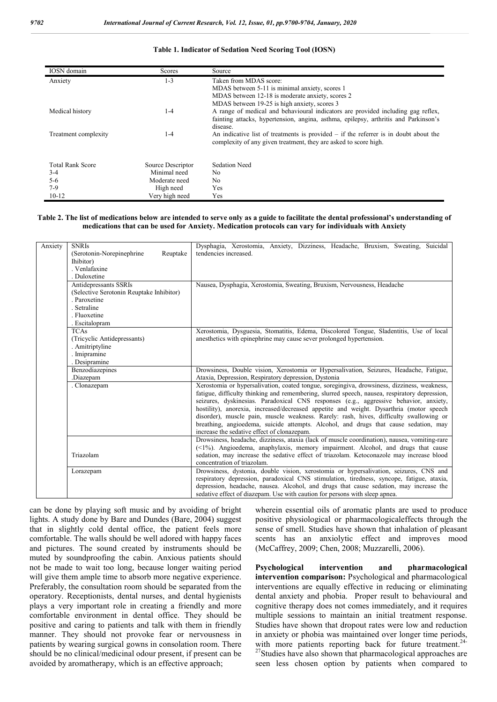## IOSN domain Scores Source Anxiety 1-3 Taken from MDAS score: MDAS between 5-11 is minimal anxiety, scores 1 MDAS between 12-18 is moderate anxiety, scores 2 MDAS between 19-25 is high anxiety, scores 3 Medical history 1-4 A range of medical and behavioural indicators are provided including gag reflex, fainting attacks, hypertension, angina, asthma, epilepsy, arthritis and Parkinson's disease. Treatment complexity 1-4 An indicative list of treatments is provided – if the referrer is in doubt about the complexity of any given treatment, they are asked to score high. Total Rank Score Source Descriptor Sedation Need 3-4 Minimal need No<br>5-6 Moderate need No 5-6 Moderate need<br>
7-9 High need 7-9 High need Yes<br>
10-12 Very high need Yes Very high need

**Table 1. Indicator of Sedation Need Scoring Tool (IOSN)**

### **Table 2. The list of medications below are intended to serve only as a guide to facilitate the dental professional's understanding of medications that can be used for Anxiety. Medication protocols can vary for individuals with Anxiety**

| Anxiety | <b>SNRIs</b>                             | Dysphagia, Xerostomia, Anxiety, Dizziness, Headache, Bruxism, Sweating, Suicidal              |
|---------|------------------------------------------|-----------------------------------------------------------------------------------------------|
|         | (Serotonin-Norepinephrine<br>Reuptake    | tendencies increased.                                                                         |
|         | Ihibitor)                                |                                                                                               |
|         | . Venlafaxine                            |                                                                                               |
|         | Duloxetine                               |                                                                                               |
|         | Antidepressants SSRIs                    | Nausea, Dysphagia, Xerostomia, Sweating, Bruxism, Nervousness, Headache                       |
|         | (Selective Serotonin Reuptake Inhibitor) |                                                                                               |
|         | Paroxetine                               |                                                                                               |
|         | Setraline                                |                                                                                               |
|         | . Fluoxetine                             |                                                                                               |
|         | . Escitalopram                           |                                                                                               |
|         | <b>TCAs</b>                              | Xerostomia, Dysguesia, Stomatitis, Edema, Discolored Tongue, Sladentitis, Use of local        |
|         | (Tricyclic Antidepressants)              | anesthetics with epinephrine may cause sever prolonged hypertension.                          |
|         | . Amitriptyline                          |                                                                                               |
|         | . Imipramine                             |                                                                                               |
|         | . Desipramine                            |                                                                                               |
|         | Benzodiazepines                          | Drowsiness, Double vision, Xerostomia or Hypersalivation, Seizures, Headache, Fatigue,        |
|         | .Diazepam                                | Ataxia, Depression, Respiratory depression, Dystonia                                          |
|         | . Clonazepam                             | Xerostomia or hypersalivation, coated tongue, soregingiva, drowsiness, dizziness, weakness,   |
|         |                                          | fatigue, difficulty thinking and remembering, slurred speech, nausea, respiratory depression, |
|         |                                          | seizures, dyskinesias. Paradoxical CNS responses (e.g., aggressive behavior, anxiety,         |
|         |                                          | hostility), anorexia, increased/decreased appetite and weight. Dysarthria (motor speech       |
|         |                                          | disorder), muscle pain, muscle weakness. Rarely: rash, hives, difficulty swallowing or        |
|         |                                          | breathing, angioedema, suicide attempts. Alcohol, and drugs that cause sedation, may          |
|         |                                          | increase the sedative effect of clonazepam.                                                   |
|         |                                          | Drowsiness, headache, dizziness, ataxia (lack of muscle coordination), nausea, vomiting-rare  |
|         |                                          | $(\leq 1\%)$ . Angioedema, anaphylaxis, memory impairment. Alcohol, and drugs that cause      |
|         | Triazolam                                | sedation, may increase the sedative effect of triazolam. Ketoconazole may increase blood      |
|         |                                          | concentration of triazolam.                                                                   |
|         | Lorazepam                                | Drowsiness, dystonia, double vision, xerostomia or hypersalivation, seizures, CNS and         |
|         |                                          | respiratory depression, paradoxical CNS stimulation, tiredness, syncope, fatigue, ataxia,     |
|         |                                          | depression, headache, nausea. Alcohol, and drugs that cause sedation, may increase the        |
|         |                                          | sedative effect of diazepam. Use with caution for persons with sleep apnea.                   |

can be done by playing soft music and by avoiding of bright lights. A study done by Bare and Dundes (Bare, 2004) suggest that in slightly cold dental office, the patient feels more comfortable. The walls should be well adored with happy faces and pictures. The sound created by instruments should be muted by soundproofing the cabin. Anxious patients should not be made to wait too long, because longer waiting period will give them ample time to absorb more negative experience. Preferably, the consultation room should be separated from the operatory. Receptionists, dental nurses, and dental hygienists plays a very important role in creating a friendly and more comfortable environment in dental office. They should be positive and caring to patients and talk with them in friendly manner. They should not provoke fear or nervousness in patients by wearing surgical gowns in consolation room. There should be no clinical/medicinal odour present, if present can be avoided by aromatherapy, which is an effective approach;

wherein essential oils of aromatic plants are used to produce positive physiological or pharmacologicaleffects through the sense of smell. Studies have shown that inhalation of pleasant scents has an anxiolytic effect and improves mood (McCaffrey, 2009; Chen, 2008; Muzzarelli, 2006).

**Psychological intervention and pharmacological intervention comparison:** Psychological and pharmacological interventions are equally effective in reducing or eliminating dental anxiety and phobia. Proper result to behavioural and cognitive therapy does not comes immediately, and it requires multiple sessions to maintain an initial treatment response. Studies have shown that dropout rates were low and reduction in anxiety or phobia was maintained over longer time periods, with more patients reporting back for future treatment.<sup>24-</sup> <sup>27</sup>Studies have also shown that pharmacological approaches are seen less chosen option by patients when compared to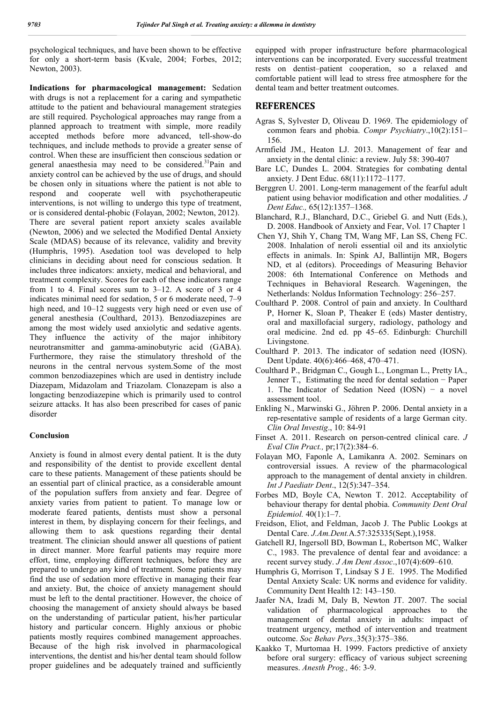psychological techniques, and have been shown to be effective for only a short-term basis (Kvale, 2004; Forbes, 2012; Newton, 2003).

**Indications for pharmacological management:** Sedation with drugs is not a replacement for a caring and sympathetic attitude to the patient and behavioural management strategies are still required. Psychological approaches may range from a planned approach to treatment with simple, more readily accepted methods before more advanced, tell-show-do techniques, and include methods to provide a greater sense of control. When these are insufficient then conscious sedation or general anaesthesia may need to be considered.<sup>31</sup>Pain and anxiety control can be achieved by the use of drugs, and should be chosen only in situations where the patient is not able to respond and cooperate well with psychotherapeutic interventions, is not willing to undergo this type of treatment, or is considered dental-phobic (Folayan, 2002; Newton, 2012). There are several patient report anxiety scales available (Newton, 2006) and we selected the Modified Dental Anxiety Scale (MDAS) because of its relevance, validity and brevity (Humphris, 1995). Asedation tool was developed to help clinicians in deciding about need for conscious sedation. It includes three indicators: anxiety, medical and behavioral, and treatment complexity. Scores for each of these indicators range from 1 to 4. Final scores sum to 3–12. A score of 3 or 4 indicates minimal need for sedation, 5 or 6 moderate need, 7–9 high need, and 10–12 suggests very high need or even use of general anesthesia (Coulthard, 2013). Benzodiazepines are among the most widely used anxiolytic and sedative agents. They influence the activity of the major inhibitory neurotransmitter and gamma-aminobutyric acid (GABA). Furthermore, they raise the stimulatory threshold of the neurons in the central nervous system.Some of the most common benzodiazepines which are used in dentistry include Diazepam, Midazolam and Triazolam. Clonazepam is also a longacting benzodiazepine which is primarily used to control seizure attacks. It has also been prescribed for cases of panic disorder

## **Conclusion**

Anxiety is found in almost every dental patient. It is the duty and responsibility of the dentist to provide excellent dental care to these patients. Management of these patients should be an essential part of clinical practice, as a considerable amount of the population suffers from anxiety and fear. Degree of anxiety varies from patient to patient. To manage low or moderate feared patients, dentists must show a personal interest in them, by displaying concern for their feelings, and allowing them to ask questions regarding their dental treatment. The clinician should answer all questions of patient in direct manner. More fearful patients may require more effort, time, employing different techniques, before they are prepared to undergo any kind of treatment. Some patients may find the use of sedation more effective in managing their fear and anxiety. But, the choice of anxiety management should must be left to the dental practitioner. However, the choice of choosing the management of anxiety should always be based on the understanding of particular patient, his/her particular history and particular concern. Highly anxious or phobic patients mostly requires combined management approaches. Because of the high risk involved in pharmacological interventions, the dentist and his/her dental team should follow proper guidelines and be adequately trained and sufficiently equipped with proper infrastructure before pharmacological interventions can be incorporated. Every successful treatment rests on dentist–patient cooperation, so a relaxed and comfortable patient will lead to stress free atmosphere for the dental team and better treatment outcomes.

## **REFERENCES**

- Agras S, Sylvester D, Oliveau D. 1969. The epidemiology of common fears and phobia. *Compr Psychiatry*.,10(2):151– 156.
- Armfield JM., Heaton LJ. 2013. Management of fear and anxiety in the dental clinic: a review. July 58: 390-407
- Bare LC, Dundes L. 2004. Strategies for combating dental anxiety. J Dent Educ. 68(11):1172–1177.
- Berggren U. 2001. Long-term management of the fearful adult patient using behavior modification and other modalities. *J Dent Educ.,* 65(12):1357–1368.
- Blanchard, R.J., Blanchard, D.C., Griebel G. and Nutt (Eds.), D. 2008. Handbook of Anxiety and Fear, Vol. 17 Chapter 1
- Chen YJ, Shih Y, Chang TM, Wang MF, Lan SS, Cheng FC. 2008. Inhalation of neroli essential oil and its anxiolytic effects in animals. In: Spink AJ, Ballintijn MR, Bogers ND, et al (editors). Proceedings of Measuring Behavior 2008: 6th International Conference on Methods and Techniques in Behavioral Research. Wageningen, the Netherlands: Noldus Information Technology: 256–257.
- Coulthard P. 2008. Control of pain and anxiety. In Coulthard P, Horner K, Sloan P, Theaker E (eds) Master dentistry, oral and maxillofacial surgery, radiology, pathology and oral medicine. 2nd ed. pp 45–65. Edinburgh: Churchill Livingstone.
- Coulthard P. 2013. The indicator of sedation need (IOSN). Dent Update. 40(6):466–468, 470–471.
- Coulthard P., Bridgman C., Gough L., Longman L., Pretty IA., Jenner T., Estimating the need for dental sedation − Paper 1. The Indicator of Sedation Need (IOSN) − a novel assessment tool.
- Enkling N., Marwinski G., Jöhren P. 2006. Dental anxiety in a rep-resentative sample of residents of a large German city. *Clin Oral Investig*., 10: 84-91
- Finset A. 2011. Research on person-centred clinical care. *J Eval Clin Pract.,* pr;17(2):384–6.
- Folayan MO, Faponle A, Lamikanra A. 2002. Seminars on controversial issues. A review of the pharmacological approach to the management of dental anxiety in children. *Int J Paediatr Dent*., 12(5):347–354.
- Forbes MD, Boyle CA, Newton T. 2012. Acceptability of behaviour therapy for dental phobia. *Community Dent Oral Epidemiol.* 40(1):1–7.
- Freidson, Eliot, and Feldman, Jacob J. The Public Lookgs at Dental Care. *J.Am.Dent.*A.57:325335(Sept.),1958.
- Gatchell RJ, Ingersoll BD, Bowman L, Robertson MC, Walker C., 1983. The prevalence of dental fear and avoidance: a recent survey study. *J Am Dent Assoc*.,107(4):609–610.
- Humphris G, Morrison T, Lindsay S J E. 1995. The Modified Dental Anxiety Scale: UK norms and evidence for validity. Community Dent Health 12: 143–150.
- Jaafer NA, Izadi M, Daly B, Newton JT. 2007. The social validation of pharmacological approaches to the management of dental anxiety in adults: impact of treatment urgency, method of intervention and treatment outcome. *Soc Behav Pers.,*35(3):375–386.
- Kaakko T, Murtomaa H. 1999. Factors predictive of anxiety before oral surgery: efficacy of various subject screening measures. *Anesth Prog.,* 46: 3-9.